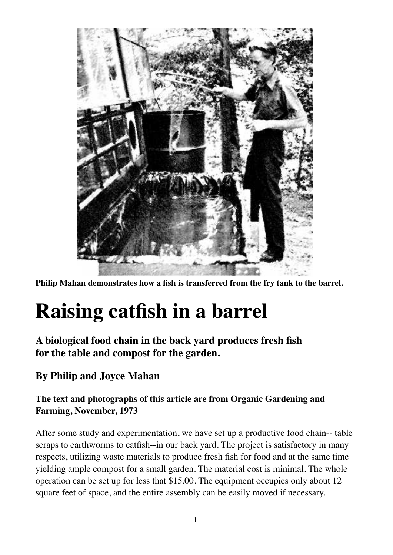

**Philip Mahan demonstrates how a fish is transferred from the fry tank to the barrel.**

## **Raising catfish in a barrel**

**A biological food chain in the back yard produces fresh fish for the table and compost for the garden.**

**By Philip and Joyce Mahan**

## **The text and photographs of this article are from Organic Gardening and Farming, November, 1973**

After some study and experimentation, we have set up a productive food chain-- table scraps to earthworms to catfish--in our back yard. The project is satisfactory in many respects, utilizing waste materials to produce fresh fish for food and at the same time yielding ample compost for a small garden. The material cost is minimal. The whole operation can be set up for less that \$15.00. The equipment occupies only about 12 square feet of space, and the entire assembly can be easily moved if necessary.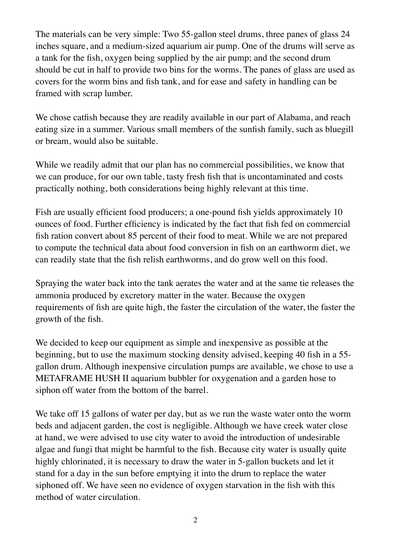The materials can be very simple: Two 55-gallon steel drums, three panes of glass 24 inches square, and a medium-sized aquarium air pump. One of the drums will serve as a tank for the fish, oxygen being supplied by the air pump; and the second drum should be cut in half to provide two bins for the worms. The panes of glass are used as covers for the worm bins and fish tank, and for ease and safety in handling can be framed with scrap lumber.

We chose catfish because they are readily available in our part of Alabama, and reach eating size in a summer. Various small members of the sunfish family, such as bluegill or bream, would also be suitable.

While we readily admit that our plan has no commercial possibilities, we know that we can produce, for our own table, tasty fresh fish that is uncontaminated and costs practically nothing, both considerations being highly relevant at this time.

Fish are usually efficient food producers; a one-pound fish yields approximately 10 ounces of food. Further efficiency is indicated by the fact that fish fed on commercial fish ration convert about 85 percent of their food to meat. While we are not prepared to compute the technical data about food conversion in fish on an earthworm diet, we can readily state that the fish relish earthworms, and do grow well on this food.

Spraying the water back into the tank aerates the water and at the same tie releases the ammonia produced by excretory matter in the water. Because the oxygen requirements of fish are quite high, the faster the circulation of the water, the faster the growth of the fish.

We decided to keep our equipment as simple and inexpensive as possible at the beginning, but to use the maximum stocking density advised, keeping 40 fish in a 55 gallon drum. Although inexpensive circulation pumps are available, we chose to use a METAFRAME HUSH II aquarium bubbler for oxygenation and a garden hose to siphon off water from the bottom of the barrel.

We take off 15 gallons of water per day, but as we run the waste water onto the worm beds and adjacent garden, the cost is negligible. Although we have creek water close at hand, we were advised to use city water to avoid the introduction of undesirable algae and fungi that might be harmful to the fish. Because city water is usually quite highly chlorinated, it is necessary to draw the water in 5-gallon buckets and let it stand for a day in the sun before emptying it into the drum to replace the water siphoned off. We have seen no evidence of oxygen starvation in the fish with this method of water circulation.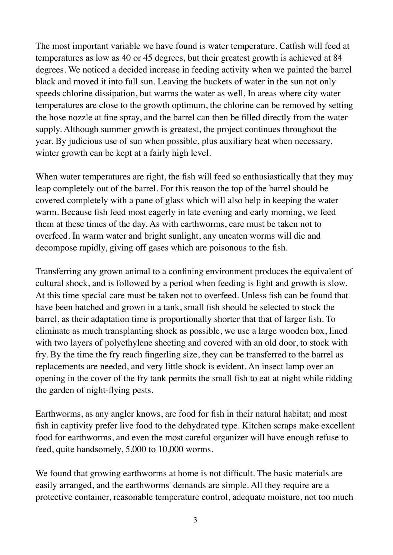The most important variable we have found is water temperature. Catfish will feed at temperatures as low as 40 or 45 degrees, but their greatest growth is achieved at 84 degrees. We noticed a decided increase in feeding activity when we painted the barrel black and moved it into full sun. Leaving the buckets of water in the sun not only speeds chlorine dissipation, but warms the water as well. In areas where city water temperatures are close to the growth optimum, the chlorine can be removed by setting the hose nozzle at fine spray, and the barrel can then be filled directly from the water supply. Although summer growth is greatest, the project continues throughout the year. By judicious use of sun when possible, plus auxiliary heat when necessary, winter growth can be kept at a fairly high level.

When water temperatures are right, the fish will feed so enthusiastically that they may leap completely out of the barrel. For this reason the top of the barrel should be covered completely with a pane of glass which will also help in keeping the water warm. Because fish feed most eagerly in late evening and early morning, we feed them at these times of the day. As with earthworms, care must be taken not to overfeed. In warm water and bright sunlight, any uneaten worms will die and decompose rapidly, giving off gases which are poisonous to the fish.

Transferring any grown animal to a confining environment produces the equivalent of cultural shock, and is followed by a period when feeding is light and growth is slow. At this time special care must be taken not to overfeed. Unless fish can be found that have been hatched and grown in a tank, small fish should be selected to stock the barrel, as their adaptation time is proportionally shorter that that of larger fish. To eliminate as much transplanting shock as possible, we use a large wooden box, lined with two layers of polyethylene sheeting and covered with an old door, to stock with fry. By the time the fry reach fingerling size, they can be transferred to the barrel as replacements are needed, and very little shock is evident. An insect lamp over an opening in the cover of the fry tank permits the small fish to eat at night while ridding the garden of night-flying pests.

Earthworms, as any angler knows, are food for fish in their natural habitat; and most fish in captivity prefer live food to the dehydrated type. Kitchen scraps make excellent food for earthworms, and even the most careful organizer will have enough refuse to feed, quite handsomely, 5,000 to 10,000 worms.

We found that growing earthworms at home is not difficult. The basic materials are easily arranged, and the earthworms' demands are simple. All they require are a protective container, reasonable temperature control, adequate moisture, not too much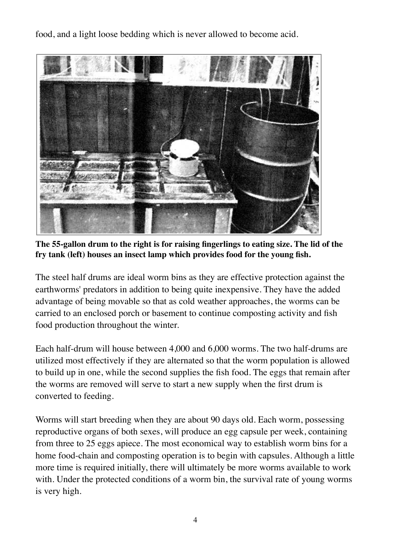food, and a light loose bedding which is never allowed to become acid.



**The 55-gallon drum to the right is for raising fingerlings to eating size. The lid of the fry tank (left) houses an insect lamp which provides food for the young fish.**

The steel half drums are ideal worm bins as they are effective protection against the earthworms' predators in addition to being quite inexpensive. They have the added advantage of being movable so that as cold weather approaches, the worms can be carried to an enclosed porch or basement to continue composting activity and fish food production throughout the winter.

Each half-drum will house between 4,000 and 6,000 worms. The two half-drums are utilized most effectively if they are alternated so that the worm population is allowed to build up in one, while the second supplies the fish food. The eggs that remain after the worms are removed will serve to start a new supply when the first drum is converted to feeding.

Worms will start breeding when they are about 90 days old. Each worm, possessing reproductive organs of both sexes, will produce an egg capsule per week, containing from three to 25 eggs apiece. The most economical way to establish worm bins for a home food-chain and composting operation is to begin with capsules. Although a little more time is required initially, there will ultimately be more worms available to work with. Under the protected conditions of a worm bin, the survival rate of young worms is very high.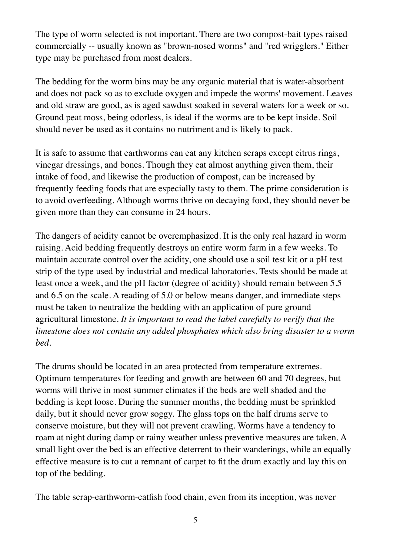The type of worm selected is not important. There are two compost-bait types raised commercially -- usually known as "brown-nosed worms" and "red wrigglers." Either type may be purchased from most dealers.

The bedding for the worm bins may be any organic material that is water-absorbent and does not pack so as to exclude oxygen and impede the worms' movement. Leaves and old straw are good, as is aged sawdust soaked in several waters for a week or so. Ground peat moss, being odorless, is ideal if the worms are to be kept inside. Soil should never be used as it contains no nutriment and is likely to pack.

It is safe to assume that earthworms can eat any kitchen scraps except citrus rings, vinegar dressings, and bones. Though they eat almost anything given them, their intake of food, and likewise the production of compost, can be increased by frequently feeding foods that are especially tasty to them. The prime consideration is to avoid overfeeding. Although worms thrive on decaying food, they should never be given more than they can consume in 24 hours.

The dangers of acidity cannot be overemphasized. It is the only real hazard in worm raising. Acid bedding frequently destroys an entire worm farm in a few weeks. To maintain accurate control over the acidity, one should use a soil test kit or a pH test strip of the type used by industrial and medical laboratories. Tests should be made at least once a week, and the pH factor (degree of acidity) should remain between 5.5 and 6.5 on the scale. A reading of 5.0 or below means danger, and immediate steps must be taken to neutralize the bedding with an application of pure ground agricultural limestone. *It is important to read the label carefully to verify that the limestone does not contain any added phosphates which also bring disaster to a worm bed.*

The drums should be located in an area protected from temperature extremes. Optimum temperatures for feeding and growth are between 60 and 70 degrees, but worms will thrive in most summer climates if the beds are well shaded and the bedding is kept loose. During the summer months, the bedding must be sprinkled daily, but it should never grow soggy. The glass tops on the half drums serve to conserve moisture, but they will not prevent crawling. Worms have a tendency to roam at night during damp or rainy weather unless preventive measures are taken. A small light over the bed is an effective deterrent to their wanderings, while an equally effective measure is to cut a remnant of carpet to fit the drum exactly and lay this on top of the bedding.

The table scrap-earthworm-catfish food chain, even from its inception, was never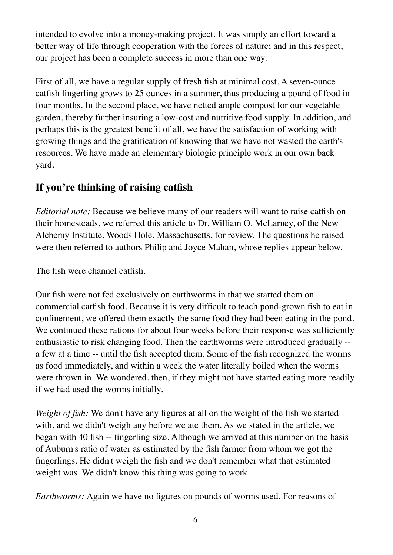intended to evolve into a money-making project. It was simply an effort toward a better way of life through cooperation with the forces of nature; and in this respect, our project has been a complete success in more than one way.

First of all, we have a regular supply of fresh fish at minimal cost. A seven-ounce catfish fingerling grows to 25 ounces in a summer, thus producing a pound of food in four months. In the second place, we have netted ample compost for our vegetable garden, thereby further insuring a low-cost and nutritive food supply. In addition, and perhaps this is the greatest benefit of all, we have the satisfaction of working with growing things and the gratification of knowing that we have not wasted the earth's resources. We have made an elementary biologic principle work in our own back yard.

## **If you're thinking of raising catfish**

*Editorial note:* Because we believe many of our readers will want to raise catfish on their homesteads, we referred this article to Dr. William O. McLarney, of the New Alchemy Institute, Woods Hole, Massachusetts, for review. The questions he raised were then referred to authors Philip and Joyce Mahan, whose replies appear below.

The fish were channel catfish.

Our fish were not fed exclusively on earthworms in that we started them on commercial catfish food. Because it is very difficult to teach pond-grown fish to eat in confinement, we offered them exactly the same food they had been eating in the pond. We continued these rations for about four weeks before their response was sufficiently enthusiastic to risk changing food. Then the earthworms were introduced gradually - a few at a time -- until the fish accepted them. Some of the fish recognized the worms as food immediately, and within a week the water literally boiled when the worms were thrown in. We wondered, then, if they might not have started eating more readily if we had used the worms initially.

*Weight of fish:* We don't have any figures at all on the weight of the fish we started with, and we didn't weigh any before we ate them. As we stated in the article, we began with 40 fish -- fingerling size. Although we arrived at this number on the basis of Auburn's ratio of water as estimated by the fish farmer from whom we got the fingerlings. He didn't weigh the fish and we don't remember what that estimated weight was. We didn't know this thing was going to work.

*Earthworms:* Again we have no figures on pounds of worms used. For reasons of